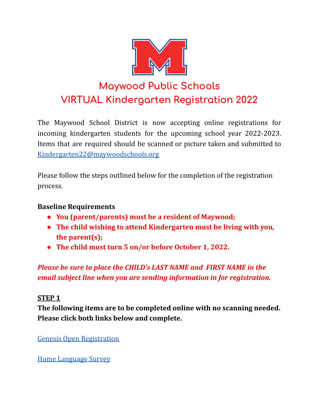

# **Maywood Public Schools VIRTUAL Kindergarten Registration 2022**

The Maywood School District is now accepting online registrations for incoming kindergarten students for the upcoming school year 2022-2023. Items that are required should be scanned or picture taken and submitted to [Kindergarten22@maywoodschools.org](mailto:Kindergarten22@maywoodschools.org)

Please follow the steps outlined below for the completion of the registration process.

### **Baseline Requirements**

- **● You (parent/parents) must be a resident of Maywood;**
- **● The child wishing to attend Kindergarten must be living with you, the parent(s);**
- **● The child must turn 5 on/or before October 1, 2022.**

*Please be sure to place the CHILD's LAST NAME and FIRST NAME in the email subject line when you are sending information in for registration.*

#### **STEP 1**

**The following items are to be completed online with no scanning needed. Please click both links below and complete.**

Genesis Open [Registration](https://genesis.genesisedu.com/maywood/openReg?screen=welcomeScreen&action=form)

Home [Language](https://forms.gle/znJRb1U6fwMWbEqp7) Survey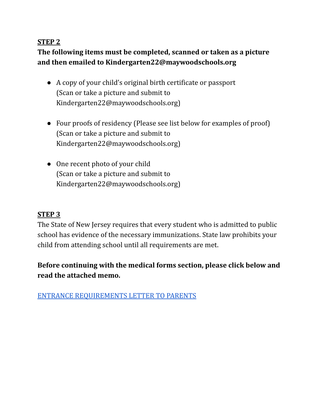#### **STEP 2**

# **The following items must be completed, scanned or taken as a picture and then emailed to Kindergarten22@maywoodschools.org**

- A copy of your child's original birth certificate or passport (Scan or take a picture and submit to Kindergarten22@maywoodschools.org)
- Four proofs of residency (Please see list below for examples of proof) (Scan or take a picture and submit to Kindergarten22@maywoodschools.org)
- One recent photo of your child (Scan or take a picture and submit to Kindergarten22@maywoodschools.org)

#### **STEP 3**

The State of New Jersey requires that every student who is admitted to public school has evidence of the necessary immunizations. State law prohibits your child from attending school until all requirements are met.

# **Before continuing with the medical forms section, please click below and read the attached memo.**

ENTRANCE [REQUIREMENTS](https://docs.google.com/document/d/1Lto4ZpCYl0fF3jqHwQPLFM4kC7a1Y_mUc3cXX8dmFzg/edit) LETTER TO PARENTS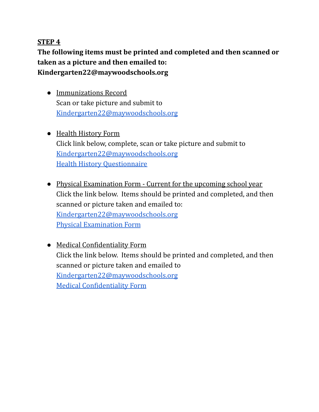#### **STEP 4**

**The following items must be printed and completed and then scanned or taken as a picture and then emailed to: Kindergarten22@maywoodschools.org**

- Immunizations Record Scan or take picture and submit to [Kindergarten22@maywoodschools.org](mailto:Kindergarten22@maywoodschools.org)
- Health History Form Click link below, complete, scan or take picture and submit to [Kindergarten22@maywoodschools.org](mailto:Kindergarten22@maywoodschools.org) Health History [Questionnaire](https://www.maywoodschools.org/cms/lib/NJ02201168/Centricity/Domain/8/Health%20History%20Questionnaire.pdf)
- Physical Examination Form Current for the upcoming school year Click the link below. Items should be printed and completed, and then scanned or picture taken and emailed to: [Kindergarten22@maywoodschools.org](mailto:Kindergarten22@maywoodschools.org) Physical [Examination](https://www.maywoodschools.org/cms/lib/NJ02201168/Centricity/shared/health%20forms/Physical%20Examination.pdf) Form
- Medical Confidentiality Form Click the link below. Items should be printed and completed, and then scanned or picture taken and emailed to [Kindergarten22@maywoodschools.org](mailto:kindergarten22@maywoodschools.org) Medical [Confidentiality](https://www.maywoodschools.org/cms/lib/NJ02201168/Centricity/Domain/8/Medical%20Confidentiality%20.pdf) Form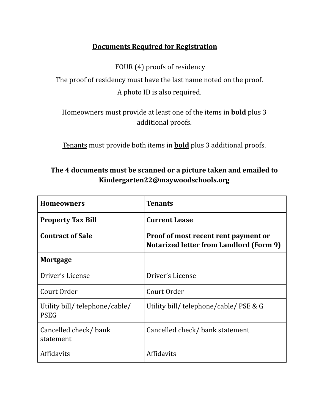## **Documents Required for Registration**

FOUR (4) proofs of residency

The proof of residency must have the last name noted on the proof. A photo ID is also required.

Homeowners must provide at least one of the items in **bold** plus 3 additional proofs.

Tenants must provide both items in **bold** plus 3 additional proofs.

## **The 4 documents must be scanned or a picture taken and emailed to Kindergarten22@maywoodschools.org**

| Homeowners                                    | <b>Tenants</b>                                                                         |
|-----------------------------------------------|----------------------------------------------------------------------------------------|
| <b>Property Tax Bill</b>                      | <b>Current Lease</b>                                                                   |
| <b>Contract of Sale</b>                       | Proof of most recent rent payment or<br><b>Notarized letter from Landlord (Form 9)</b> |
| <b>Mortgage</b>                               |                                                                                        |
| Driver's License                              | Driver's License                                                                       |
| Court Order                                   | Court Order                                                                            |
| Utility bill/ telephone/cable/<br><b>PSEG</b> | Utility bill/ telephone/cable/ PSE & G                                                 |
| Cancelled check/bank<br>statement             | Cancelled check/ bank statement                                                        |
| <b>Affidavits</b>                             | <b>Affidavits</b>                                                                      |